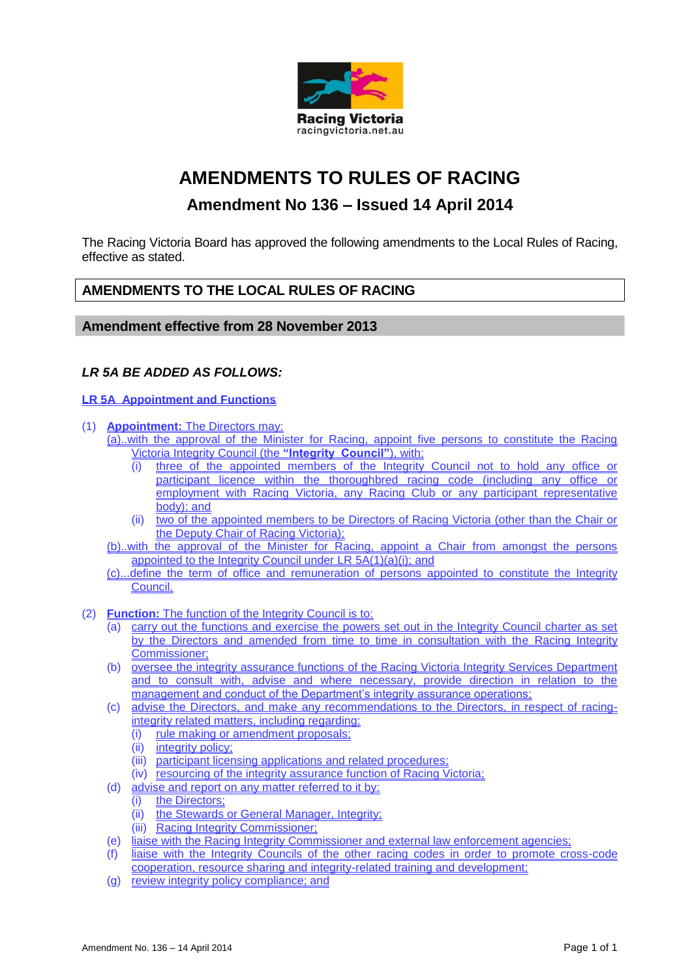

# **AMENDMENTS TO RULES OF RACING**

## **Amendment No 136 – Issued 14 April 2014**

The Racing Victoria Board has approved the following amendments to the Local Rules of Racing, effective as stated.

### **AMENDMENTS TO THE LOCAL RULES OF RACING**

#### **Amendment effective from 28 November 2013**

### *LR 5A BE ADDED AS FOLLOWS:*

#### **LR 5A Appointment and Functions**

- (1) **Appointment:** The Directors may:
	- (a)..with the approval of the Minister for Racing, appoint five persons to constitute the Racing Victoria Integrity Council (the **"Integrity Council"**), with:
		- three of the appointed members of the Integrity Council not to hold any office or participant licence within the thoroughbred racing code (including any office or employment with Racing Victoria, any Racing Club or any participant representative body); and
		- (ii) two of the appointed members to be Directors of Racing Victoria (other than the Chair or the Deputy Chair of Racing Victoria);
	- (b)..with the approval of the Minister for Racing, appoint a Chair from amongst the persons appointed to the Integrity Council under LR 5A(1)(a)(i); and
	- (c)...define the term of office and remuneration of persons appointed to constitute the Integrity Council.
- (2) **Function:** The function of the Integrity Council is to:
	- (a) carry out the functions and exercise the powers set out in the Integrity Council charter as set by the Directors and amended from time to time in consultation with the Racing Integrity Commissioner;
	- (b) oversee the integrity assurance functions of the Racing Victoria Integrity Services Department and to consult with, advise and where necessary, provide direction in relation to the management and conduct of the Department's integrity assurance operations;
	- (c) advise the Directors, and make any recommendations to the Directors, in respect of racingintegrity related matters, including regarding:
		- (i) rule making or amendment proposals;
		- (ii) integrity policy;
		- (iii) participant licensing applications and related procedures;
		- (iv) resourcing of the integrity assurance function of Racing Victoria;
	- (d) advise and report on any matter referred to it by:
		-
		- (i) the Directors;<br>(ii) the Stewards the Stewards or General Manager, Integrity;
		- (iii) Racing Integrity Commissioner;
	- (e) liaise with the Racing Integrity Commissioner and external law enforcement agencies;
	- (f) liaise with the Integrity Councils of the other racing codes in order to promote cross-code cooperation, resource sharing and integrity-related training and development;
	- (g) review integrity policy compliance; and